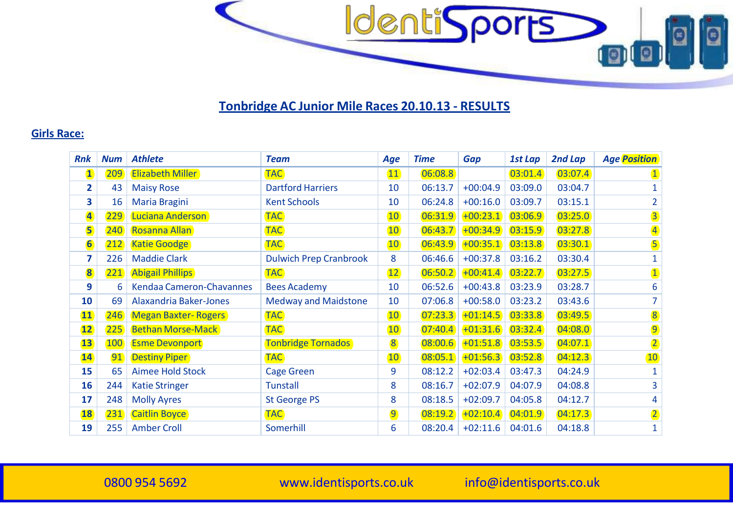

## **Tonbridge AC Junior Mile Races 20.10.13 - RESULTS**

## **Girls Race:**

| Rnk                     | <b>Num</b> | <b>Athlete</b>                | <b>Team</b>                   | Age             | <b>Time</b> | Gap        | 1st Lap | 2nd Lap | <b>Age Position</b>     |
|-------------------------|------------|-------------------------------|-------------------------------|-----------------|-------------|------------|---------|---------|-------------------------|
| $\mathbf{1}$            | 209        | <b>Elizabeth Miller</b>       | <b>TAC</b>                    | 11              | 06:08.8     |            | 03:01.4 | 03:07.4 | $\mathbf{1}$            |
| $\overline{\mathbf{2}}$ | 43         | <b>Maisy Rose</b>             | <b>Dartford Harriers</b>      | 10              | 06:13.7     | $+00:04.9$ | 03:09.0 | 03:04.7 | 1                       |
| 3                       | 16         | Maria Bragini                 | <b>Kent Schools</b>           | 10              | 06:24.8     | $+00:16.0$ | 03:09.7 | 03:15.1 | $\overline{2}$          |
| $\overline{\mathbf{4}}$ | 229        | Luciana Anderson              | <b>TAC</b>                    | 10 <sup>°</sup> | 06:31.9     | $+00:23.1$ | 03:06.9 | 03:25.0 | $\overline{3}$          |
| 5                       | 240        | <b>Rosanna Allan</b>          | <b>TAC</b>                    | 10 <sup>°</sup> | 06:43.7     | $+00:34.9$ | 03:15.9 | 03:27.8 | $\overline{\mathbf{4}}$ |
| $6\phantom{a}$          | 212        | <b>Katie Goodge</b>           | <b>TAC</b>                    | 10              | 06:43.9     | $+00:35.1$ | 03:13.8 | 03:30.1 | $\overline{\mathbf{5}}$ |
| 7                       | 226        | <b>Maddie Clark</b>           | <b>Dulwich Prep Cranbrook</b> | 8               | 06:46.6     | $+00:37.8$ | 03:16.2 | 03:30.4 | $\mathbf{1}$            |
| 8                       | 221        | <b>Abigail Phillips</b>       | <b>TAC</b>                    | 12              | 06:50.2     | $+00:41.4$ | 03:22.7 | 03:27.5 | $\mathbf{1}$            |
| 9                       | 6          | Kendaa Cameron-Chavannes      | <b>Bees Academy</b>           | 10              | 06:52.6     | $+00:43.8$ | 03:23.9 | 03:28.7 | 6                       |
| 10                      | 69         | <b>Alaxandria Baker-Jones</b> | <b>Medway and Maidstone</b>   | 10              | 07:06.8     | $+00:58.0$ | 03:23.2 | 03:43.6 | $\overline{7}$          |
| 11                      | 246        | <b>Megan Baxter-Rogers</b>    | <b>TAC</b>                    | 10 <sup>°</sup> | 07:23.3     | $+01:14.5$ | 03:33.8 | 03:49.5 | 8                       |
| 12                      | 225        | <b>Bethan Morse-Mack</b>      | <b>TAC</b>                    | 10              | 07:40.4     | $+01:31.6$ | 03:32.4 | 04:08.0 | $\overline{9}$          |
| 13                      | <b>100</b> | <b>Esme Devonport</b>         | <b>Tonbridge Tornados</b>     | 8               | 08:00.6     | $+01:51.8$ | 03:53.5 | 04:07.1 | $\overline{2}$          |
| <b>14</b>               | 91         | <b>Destiny Piper</b>          | <b>TAC</b>                    | 10              | 08:05.1     | $+01:56.3$ | 03:52.8 | 04:12.3 | 10                      |
| 15                      | 65         | <b>Aimee Hold Stock</b>       | <b>Cage Green</b>             | 9               | 08:12.2     | $+02:03.4$ | 03:47.3 | 04:24.9 | $\mathbf{1}$            |
| 16                      | 244        | <b>Katie Stringer</b>         | <b>Tunstall</b>               | 8               | 08:16.7     | $+02:07.9$ | 04:07.9 | 04:08.8 | 3                       |
| 17                      | 248        | <b>Molly Ayres</b>            | <b>St George PS</b>           | 8               | 08:18.5     | $+02:09.7$ | 04:05.8 | 04:12.7 | 4                       |
| <b>18</b>               | 231        | <b>Caitlin Boyce</b>          | <b>TAC</b>                    | 9               | 08:19.2     | $+02:10.4$ | 04:01.9 | 04:17.3 | $\overline{2}$          |
| 19                      | 255        | <b>Amber Croll</b>            | Somerhill                     | 6               | 08:20.4     | $+02:11.6$ | 04:01.6 | 04:18.8 | $\mathbf{1}$            |

954 5692 [www.identisports.co.uk](http://www.identisports.co.uk/) [info@identisports.co.uk](mailto:info@identisports.co.uk)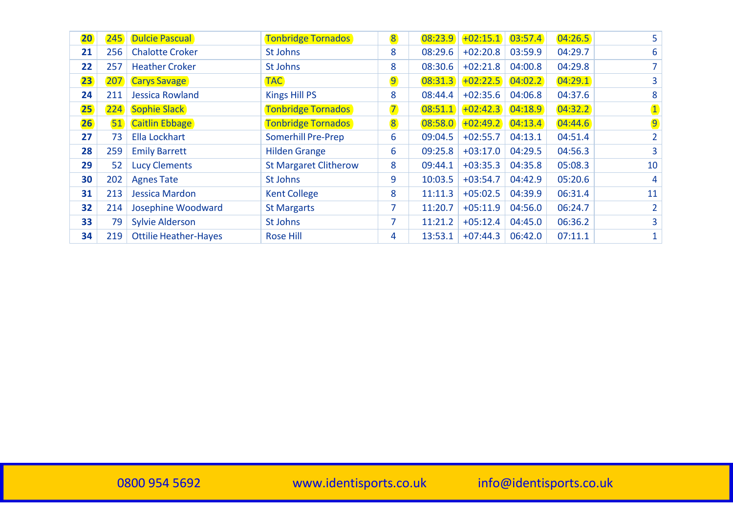| 20 <sup>°</sup> | 245 | <b>Dulcie Pascual</b>        | <b>Tonbridge Tornados</b>    | 8              | 08:23.9 | $+02:15.1$ | 03:57.4 | 04:26.5 | 5              |
|-----------------|-----|------------------------------|------------------------------|----------------|---------|------------|---------|---------|----------------|
| 21              | 256 | <b>Chalotte Croker</b>       | St Johns                     | 8              | 08:29.6 | $+02:20.8$ | 03:59.9 | 04:29.7 | 6              |
| 22              | 257 | <b>Heather Croker</b>        | St Johns                     | 8              | 08:30.6 | $+02:21.8$ | 04:00.8 | 04:29.8 | 7              |
| 23              | 207 | <b>Carys Savage</b>          | <b>TAC</b>                   | 9              | 08:31.3 | $+02:22.5$ | 04:02.2 | 04:29.1 | 3              |
| 24              | 211 | Jessica Rowland              | Kings Hill PS                | 8              | 08:44.4 | $+02:35.6$ | 04:06.8 | 04:37.6 | 8              |
| 25              | 224 | <b>Sophie Slack</b>          | <b>Tonbridge Tornados</b>    | $\overline{7}$ | 08:51.1 | $+02:42.3$ | 04:18.9 | 04:32.2 | $\mathbf{1}$   |
| 26              | 51) | <b>Caitlin Ebbage</b>        | <b>Tonbridge Tornados</b>    | 8              | 08:58.0 | $+02:49.2$ | 04:13.4 | 04:44.6 | $\overline{9}$ |
| 27              | 73  | Ella Lockhart                | <b>Somerhill Pre-Prep</b>    | 6              | 09:04.5 | $+02:55.7$ | 04:13.1 | 04:51.4 | $\overline{2}$ |
| 28              | 259 | <b>Emily Barrett</b>         | <b>Hilden Grange</b>         | 6              | 09:25.8 | $+03:17.0$ | 04:29.5 | 04:56.3 | 3              |
| 29              | 52  | <b>Lucy Clements</b>         | <b>St Margaret Clitherow</b> | 8              | 09:44.1 | $+03:35.3$ | 04:35.8 | 05:08.3 | 10             |
| 30              | 202 | <b>Agnes Tate</b>            | St Johns                     | 9              | 10:03.5 | $+03:54.7$ | 04:42.9 | 05:20.6 | 4              |
| 31              | 213 | Jessica Mardon               | <b>Kent College</b>          | 8              | 11:11.3 | $+05:02.5$ | 04:39.9 | 06:31.4 | 11             |
| 32              | 214 | Josephine Woodward           | <b>St Margarts</b>           | 7              | 11:20.7 | $+05:11.9$ | 04:56.0 | 06:24.7 | $\overline{2}$ |
| 33              | 79  | <b>Sylvie Alderson</b>       | St Johns                     |                | 11:21.2 | $+05:12.4$ | 04:45.0 | 06:36.2 | 3              |
| 34              | 219 | <b>Ottilie Heather-Hayes</b> | <b>Rose Hill</b>             | 4              | 13:53.1 | $+07:44.3$ | 06:42.0 | 07:11.1 |                |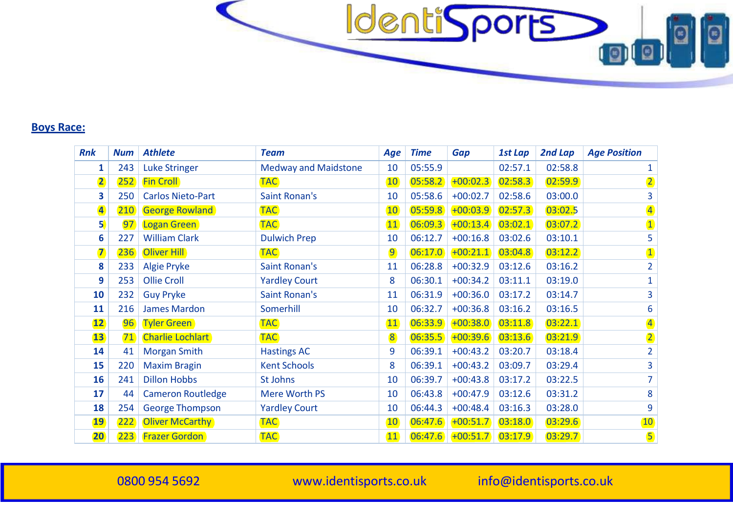

## **Boys Race:**

| <b>Rnk</b>              | <b>Num</b> | <b>Athlete</b>           | <b>Team</b>                 | Age            | <b>Time</b> | Gap        | 1st Lap | 2nd Lap | <b>Age Position</b>     |
|-------------------------|------------|--------------------------|-----------------------------|----------------|-------------|------------|---------|---------|-------------------------|
| $\mathbf{1}$            | 243        | <b>Luke Stringer</b>     | <b>Medway and Maidstone</b> | 10             | 05:55.9     |            | 02:57.1 | 02:58.8 | $\mathbf{1}$            |
| $\overline{2}$          | 252        | <b>Fin Croll</b>         | <b>TAC</b>                  | 10             | 05:58.2     | $+00:02.3$ | 02:58.3 | 02:59.9 | $\overline{2}$          |
| 3                       | 250        | <b>Carlos Nieto-Part</b> | <b>Saint Ronan's</b>        | 10             | 05:58.6     | $+00:02.7$ | 02:58.6 | 03:00.0 | 3                       |
| $\overline{\mathbf{A}}$ | (210)      | <b>George Rowland</b>    | <b>TAC</b>                  | 10             | 05:59.8     | $+00:03.9$ | 02:57.3 | 03:02.5 | $\overline{\mathbf{4}}$ |
| 5 <sub>0</sub>          | 97         | Logan Green              | <b>TAC</b>                  | 11             | 06:09.3     | $+00:13.4$ | 03:02.1 | 03:07.2 | $\overline{\mathbf{1}}$ |
| 6                       | 227        | <b>William Clark</b>     | <b>Dulwich Prep</b>         | 10             | 06:12.7     | $+00:16.8$ | 03:02.6 | 03:10.1 | 5                       |
| $\overline{\mathbf{z}}$ | 236        | Oliver Hill              | <b>TAC</b>                  | $\overline{9}$ | 06:17.0     | $+00:21.1$ | 03:04.8 | 03:12.2 | $\mathbf{1}$            |
| 8                       | 233        | <b>Algie Pryke</b>       | <b>Saint Ronan's</b>        | 11             | 06:28.8     | $+00:32.9$ | 03:12.6 | 03:16.2 | $\overline{2}$          |
| 9                       | 253        | <b>Ollie Croll</b>       | <b>Yardley Court</b>        | 8              | 06:30.1     | $+00:34.2$ | 03:11.1 | 03:19.0 | $\mathbf{1}$            |
| 10                      | 232        | <b>Guy Pryke</b>         | <b>Saint Ronan's</b>        | 11             | 06:31.9     | $+00:36.0$ | 03:17.2 | 03:14.7 | 3                       |
| 11                      | 216        | <b>James Mardon</b>      | Somerhill                   | 10             | 06:32.7     | $+00:36.8$ | 03:16.2 | 03:16.5 | 6                       |
| 12                      | 96         | <b>Tyler Green</b>       | <b>TAC</b>                  | 11             | 06:33.9     | $+00:38.0$ | 03:11.8 | 03:22.1 | $\overline{4}$          |
| 13                      | 71         | <b>Charlie Lochlart</b>  | <b>TAC</b>                  | 8              | 06:35.5     | $+00:39.6$ | 03:13.6 | 03:21.9 | $\overline{2}$          |
| 14                      | 41         | <b>Morgan Smith</b>      | <b>Hastings AC</b>          | 9              | 06:39.1     | $+00:43.2$ | 03:20.7 | 03:18.4 | $\overline{2}$          |
| 15                      | 220        | <b>Maxim Bragin</b>      | <b>Kent Schools</b>         | 8              | 06:39.1     | $+00:43.2$ | 03:09.7 | 03:29.4 | 3                       |
| 16                      | 241        | <b>Dillon Hobbs</b>      | St Johns                    | 10             | 06:39.7     | $+00:43.8$ | 03:17.2 | 03:22.5 | 7                       |
| 17                      | 44         | <b>Cameron Routledge</b> | <b>Mere Worth PS</b>        | 10             | 06:43.8     | $+00:47.9$ | 03:12.6 | 03:31.2 | 8                       |
| 18                      | 254        | <b>George Thompson</b>   | <b>Yardley Court</b>        | 10             | 06:44.3     | $+00:48.4$ | 03:16.3 | 03:28.0 | 9                       |
| <b>19</b>               | 222        | <b>Oliver McCarthy</b>   | <b>TAC</b>                  | <b>10</b>      | 06:47.6     | $+00:51.7$ | 03:18.0 | 03:29.6 | <b>10</b>               |
| 20                      | 223        | <b>Frazer Gordon</b>     | <b>TAC</b>                  | 11             | 06:47.6     | $+00:51.7$ | 03:17.9 | 03:29.7 | $\overline{\mathbf{5}}$ |

954 5692 [www.identisports.co.uk](http://www.identisports.co.uk/) [info@identisports.co.uk](mailto:info@identisports.co.uk)